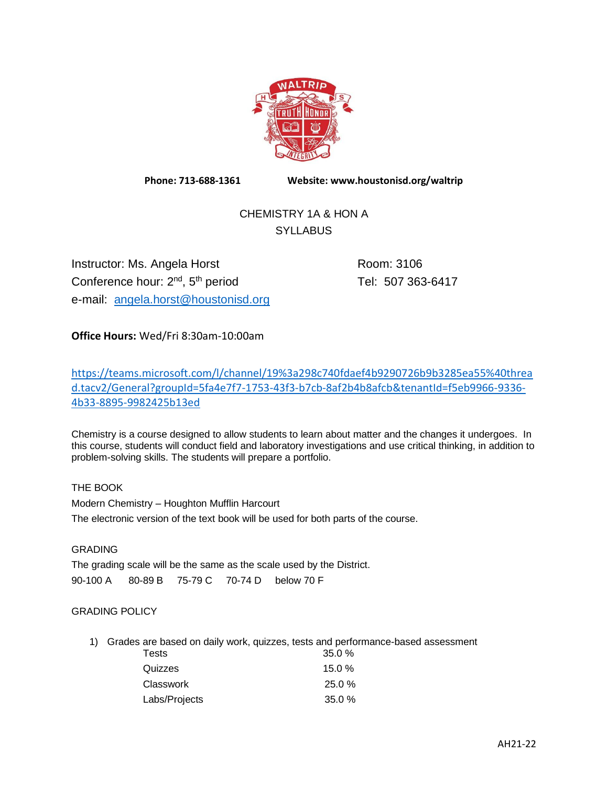

**Phone: 713-688-1361 Website: www.houstonisd.org/waltrip**

# CHEMISTRY 1A & HON A **SYLLABUS**

Instructor: Ms. Angela Horst Room: 3106 Conference hour: 2<sup>nd</sup>, 5 e-mail: [angela.horst@houstonisd.org](mailto:angela.horst@houstonisd.org)

Tel: 507 363-6417

**Office Hours:** Wed/Fri 8:30am-10:00am

[https://teams.microsoft.com/l/channel/19%3a298c740fdaef4b9290726b9b3285ea55%40threa](https://teams.microsoft.com/l/channel/19%3a298c740fdaef4b9290726b9b3285ea55%40thread.tacv2/General?groupId=5fa4e7f7-1753-43f3-b7cb-8af2b4b8afcb&tenantId=f5eb9966-9336-4b33-8895-9982425b13ed) [d.tacv2/General?groupId=5fa4e7f7-1753-43f3-b7cb-8af2b4b8afcb&tenantId=f5eb9966-9336-](https://teams.microsoft.com/l/channel/19%3a298c740fdaef4b9290726b9b3285ea55%40thread.tacv2/General?groupId=5fa4e7f7-1753-43f3-b7cb-8af2b4b8afcb&tenantId=f5eb9966-9336-4b33-8895-9982425b13ed) [4b33-8895-9982425b13ed](https://teams.microsoft.com/l/channel/19%3a298c740fdaef4b9290726b9b3285ea55%40thread.tacv2/General?groupId=5fa4e7f7-1753-43f3-b7cb-8af2b4b8afcb&tenantId=f5eb9966-9336-4b33-8895-9982425b13ed)

Chemistry is a course designed to allow students to learn about matter and the changes it undergoes. In this course, students will conduct field and laboratory investigations and use critical thinking, in addition to problem-solving skills. The students will prepare a portfolio.

THE BOOK Modern Chemistry – Houghton Mufflin Harcourt The electronic version of the text book will be used for both parts of the course.

## **GRADING**

The grading scale will be the same as the scale used by the District. 90-100 A 80-89 B 75-79 C 70-74 D below 70 F

## GRADING POLICY

1) Grades are based on daily work, quizzes, tests and performance-based assessment

| <b>Tests</b>  | 35.0%     |
|---------------|-----------|
| Quizzes       | 15.0%     |
| Classwork     | $25.0 \%$ |
| Labs/Projects | 35.0%     |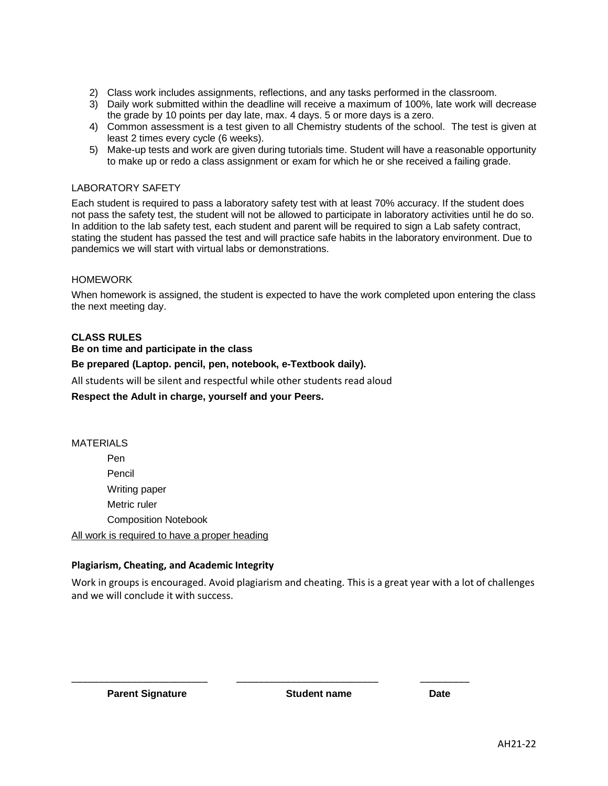- 2) Class work includes assignments, reflections, and any tasks performed in the classroom.
- 3) Daily work submitted within the deadline will receive a maximum of 100%, late work will decrease the grade by 10 points per day late, max. 4 days. 5 or more days is a zero.
- 4) Common assessment is a test given to all Chemistry students of the school. The test is given at least 2 times every cycle (6 weeks).
- 5) Make-up tests and work are given during tutorials time. Student will have a reasonable opportunity to make up or redo a class assignment or exam for which he or she received a failing grade.

#### LABORATORY SAFETY

Each student is required to pass a laboratory safety test with at least 70% accuracy. If the student does not pass the safety test, the student will not be allowed to participate in laboratory activities until he do so. In addition to the lab safety test, each student and parent will be required to sign a Lab safety contract, stating the student has passed the test and will practice safe habits in the laboratory environment. Due to pandemics we will start with virtual labs or demonstrations.

#### HOMEWORK

When homework is assigned, the student is expected to have the work completed upon entering the class the next meeting day.

#### **CLASS RULES**

#### **Be on time and participate in the class**

#### **Be prepared (Laptop. pencil, pen, notebook, e-Textbook daily).**

All students will be silent and respectful while other students read aloud

#### **Respect the Adult in charge, yourself and your Peers.**

### MATERIALS

Pen Pencil Writing paper Metric ruler Composition Notebook

All work is required to have a proper heading

### **Plagiarism, Cheating, and Academic Integrity**

Work in groups is encouraged. Avoid plagiarism and cheating. This is a great year with a lot of challenges and we will conclude it with success.

\_\_\_\_\_\_\_\_\_\_\_\_\_\_\_\_\_\_\_\_\_\_\_\_\_ \_\_\_\_\_\_\_\_\_\_\_\_\_\_\_\_\_\_\_\_\_\_\_\_\_\_ \_\_\_\_\_\_\_\_\_

**Parent Signature Constructed Student name Date Date**